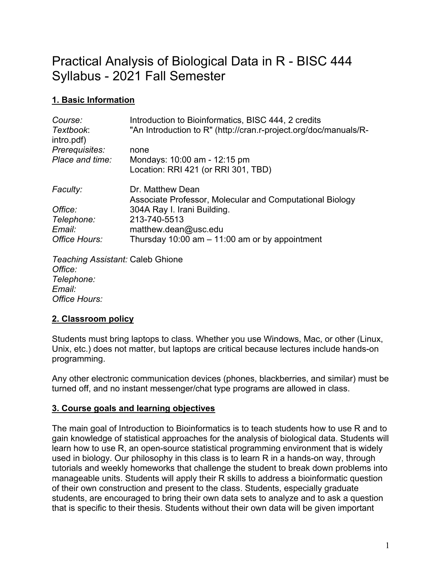# Practical Analysis of Biological Data in R - BISC 444 Syllabus - 2021 Fall Semester

# **1. Basic Information**

| Course:<br>Textbook:<br>intro.pdf)                 | Introduction to Bioinformatics, BISC 444, 2 credits<br>"An Introduction to R" (http://cran.r-project.org/doc/manuals/R- |
|----------------------------------------------------|-------------------------------------------------------------------------------------------------------------------------|
| Prerequisites:                                     | none                                                                                                                    |
| Place and time:                                    | Mondays: 10:00 am - 12:15 pm                                                                                            |
|                                                    | Location: RRI 421 (or RRI 301, TBD)                                                                                     |
| Faculty:                                           | Dr. Matthew Dean<br>Associate Professor, Molecular and Computational Biology                                            |
| Office:                                            | 304A Ray I. Irani Building.                                                                                             |
| Telephone:                                         | 213-740-5513                                                                                                            |
| Email:                                             | matthew.dean@usc.edu                                                                                                    |
| Office Hours:                                      | Thursday 10:00 am $-$ 11:00 am or by appointment                                                                        |
| <b>Teaching Assistant: Caleb Ghione</b><br>Office: |                                                                                                                         |

*Telephone: Email: Office Hours:*

# **2. Classroom policy**

Students must bring laptops to class. Whether you use Windows, Mac, or other (Linux, Unix, etc.) does not matter, but laptops are critical because lectures include hands-on programming.

Any other electronic communication devices (phones, blackberries, and similar) must be turned off, and no instant messenger/chat type programs are allowed in class.

# **3. Course goals and learning objectives**

The main goal of Introduction to Bioinformatics is to teach students how to use R and to gain knowledge of statistical approaches for the analysis of biological data. Students will learn how to use R, an open-source statistical programming environment that is widely used in biology. Our philosophy in this class is to learn R in a hands-on way, through tutorials and weekly homeworks that challenge the student to break down problems into manageable units. Students will apply their R skills to address a bioinformatic question of their own construction and present to the class. Students, especially graduate students, are encouraged to bring their own data sets to analyze and to ask a question that is specific to their thesis. Students without their own data will be given important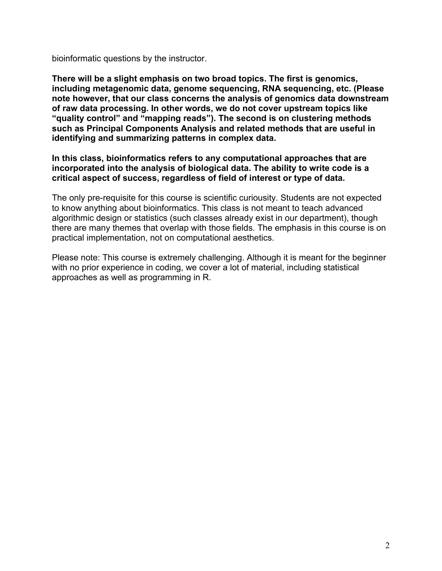bioinformatic questions by the instructor.

**There will be a slight emphasis on two broad topics. The first is genomics, including metagenomic data, genome sequencing, RNA sequencing, etc. (Please note however, that our class concerns the analysis of genomics data downstream of raw data processing. In other words, we do not cover upstream topics like "quality control" and "mapping reads"). The second is on clustering methods such as Principal Components Analysis and related methods that are useful in identifying and summarizing patterns in complex data.** 

**In this class, bioinformatics refers to any computational approaches that are incorporated into the analysis of biological data. The ability to write code is a critical aspect of success, regardless of field of interest or type of data.**

The only pre-requisite for this course is scientific curiousity. Students are not expected to know anything about bioinformatics. This class is not meant to teach advanced algorithmic design or statistics (such classes already exist in our department), though there are many themes that overlap with those fields. The emphasis in this course is on practical implementation, not on computational aesthetics.

Please note: This course is extremely challenging. Although it is meant for the beginner with no prior experience in coding, we cover a lot of material, including statistical approaches as well as programming in R.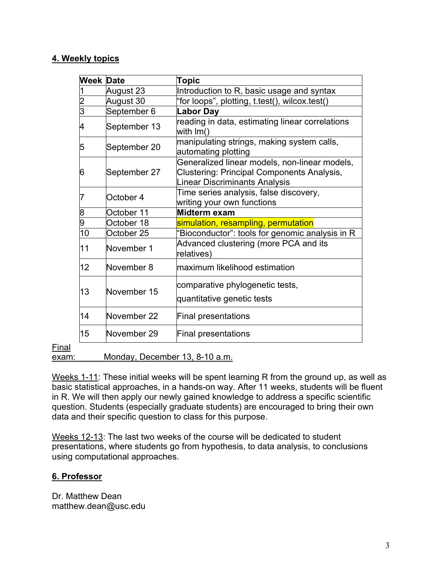# **4. Weekly topics**

| Week Date      |              | Topic                                                                                                                               |  |
|----------------|--------------|-------------------------------------------------------------------------------------------------------------------------------------|--|
|                | August 23    | Introduction to R, basic usage and syntax                                                                                           |  |
| 2              | August 30    | "for loops", plotting, t.test(), wilcox.test()                                                                                      |  |
| $\overline{3}$ | September 6  | <b>Labor Day</b>                                                                                                                    |  |
| 4              | September 13 | reading in data, estimating linear correlations<br>with $Im()$                                                                      |  |
| 5              | September 20 | manipulating strings, making system calls,<br>automating plotting                                                                   |  |
| 6              | September 27 | Generalized linear models, non-linear models,<br>Clustering: Principal Components Analysis,<br><b>Linear Discriminants Analysis</b> |  |
|                | October 4    | Time series analysis, false discovery,<br>writing your own functions                                                                |  |
| 8              | October 11   | Midterm exam                                                                                                                        |  |
| 9              | October 18   | simulation, resampling, permutation                                                                                                 |  |
| 10             | October 25   | "Bioconductor": tools for genomic analysis in R                                                                                     |  |
| 11             | November 1   | Advanced clustering (more PCA and its<br>relatives)                                                                                 |  |
| 12             | November 8   | maximum likelihood estimation                                                                                                       |  |
| 13             | November 15  | comparative phylogenetic tests,<br>quantitative genetic tests                                                                       |  |
| 14             | November 22  | <b>Final presentations</b>                                                                                                          |  |
| 15             | November 29  | <b>Final presentations</b>                                                                                                          |  |

Final

exam: Monday, December 13, 8-10 a.m.

Weeks 1-11: These initial weeks will be spent learning R from the ground up, as well as basic statistical approaches, in a hands-on way. After 11 weeks, students will be fluent in R. We will then apply our newly gained knowledge to address a specific scientific question. Students (especially graduate students) are encouraged to bring their own data and their specific question to class for this purpose.

Weeks 12-13: The last two weeks of the course will be dedicated to student presentations, where students go from hypothesis, to data analysis, to conclusions using computational approaches.

# **6. Professor**

Dr. Matthew Dean matthew.dean@usc.edu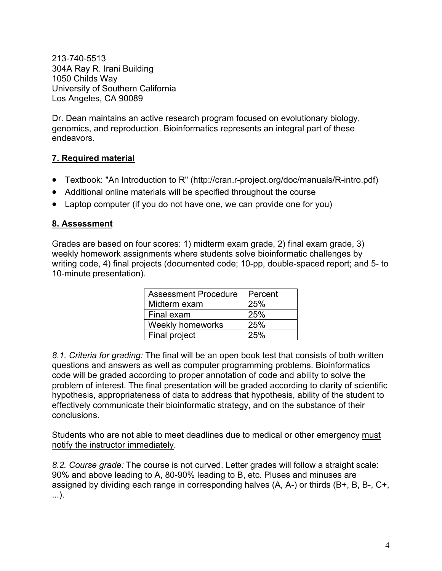213-740-5513 304A Ray R. Irani Building 1050 Childs Way University of Southern California Los Angeles, CA 90089

Dr. Dean maintains an active research program focused on evolutionary biology, genomics, and reproduction. Bioinformatics represents an integral part of these endeavors.

# **7. Required material**

- Textbook: "An Introduction to R" (http://cran.r-project.org/doc/manuals/R-intro.pdf)
- Additional online materials will be specified throughout the course
- Laptop computer (if you do not have one, we can provide one for you)

#### **8. Assessment**

Grades are based on four scores: 1) midterm exam grade, 2) final exam grade, 3) weekly homework assignments where students solve bioinformatic challenges by writing code, 4) final projects (documented code; 10-pp, double-spaced report; and 5- to 10-minute presentation).

| <b>Assessment Procedure</b> | Percent |
|-----------------------------|---------|
| Midterm exam                | 25%     |
| Final exam                  | 25%     |
| <b>Weekly homeworks</b>     | 25%     |
| Final project               | 25%     |

*8.1. Criteria for grading:* The final will be an open book test that consists of both written questions and answers as well as computer programming problems. Bioinformatics code will be graded according to proper annotation of code and ability to solve the problem of interest. The final presentation will be graded according to clarity of scientific hypothesis, appropriateness of data to address that hypothesis, ability of the student to effectively communicate their bioinformatic strategy, and on the substance of their conclusions.

Students who are not able to meet deadlines due to medical or other emergency must notify the instructor immediately.

*8.2. Course grade:* The course is not curved. Letter grades will follow a straight scale: 90% and above leading to A, 80-90% leading to B, etc. Pluses and minuses are assigned by dividing each range in corresponding halves (A, A-) or thirds (B+, B, B-, C+, ...).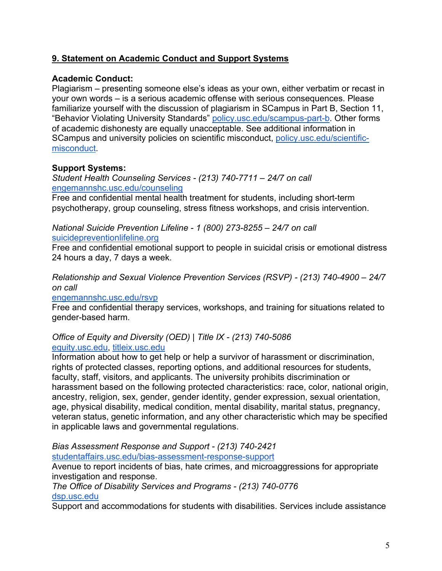# **9. Statement on Academic Conduct and Support Systems**

#### **Academic Conduct:**

Plagiarism – presenting someone else's ideas as your own, either verbatim or recast in your own words – is a serious academic offense with serious consequences. Please familiarize yourself with the discussion of plagiarism in SCampus in Part B, Section 11, "Behavior Violating University Standards" policy.usc.edu/scampus-part-b. Other forms of academic dishonesty are equally unacceptable. See additional information in SCampus and university policies on scientific misconduct, policy.usc.edu/scientificmisconduct.

#### **Support Systems:**

*Student Health Counseling Services - (213) 740-7711 – 24/7 on call* engemannshc.usc.edu/counseling

Free and confidential mental health treatment for students, including short-term psychotherapy, group counseling, stress fitness workshops, and crisis intervention.

*National Suicide Prevention Lifeline - 1 (800) 273-8255 – 24/7 on call* suicidepreventionlifeline.org

Free and confidential emotional support to people in suicidal crisis or emotional distress 24 hours a day, 7 days a week.

*Relationship and Sexual Violence Prevention Services (RSVP) - (213) 740-4900 – 24/7 on call*

engemannshc.usc.edu/rsvp

Free and confidential therapy services, workshops, and training for situations related to gender-based harm.

#### *Office of Equity and Diversity (OED) | Title IX - (213) 740-5086* equity.usc.edu, titleix.usc.edu

Information about how to get help or help a survivor of harassment or discrimination, rights of protected classes, reporting options, and additional resources for students, faculty, staff, visitors, and applicants. The university prohibits discrimination or harassment based on the following protected characteristics: race, color, national origin, ancestry, religion, sex, gender, gender identity, gender expression, sexual orientation, age, physical disability, medical condition, mental disability, marital status, pregnancy, veteran status, genetic information, and any other characteristic which may be specified in applicable laws and governmental regulations.

*Bias Assessment Response and Support - (213) 740-2421* studentaffairs.usc.edu/bias-assessment-response-support

Avenue to report incidents of bias, hate crimes, and microaggressions for appropriate investigation and response.

*The Office of Disability Services and Programs - (213) 740-0776* dsp.usc.edu

Support and accommodations for students with disabilities. Services include assistance